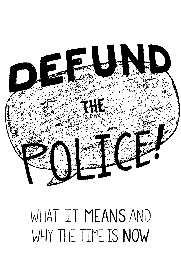

# WHAT IT MEANS AND WHY THE TIME IS NOW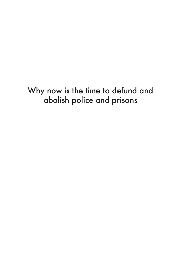# Why now is the time to defund and abolish police and prisons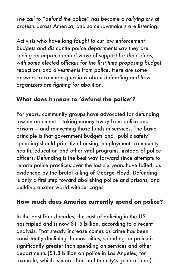The call to "defund the police" has become a rallying cry at protests across America, and some lawmakers are listening.

Activists who have long fought to cut law enforcement budgets and dismantle police departments say they are seeing an unprecedented wave of support for their ideas, with some elected officials for the first time proposing budget reductions and divestments from police. Here are some answers to common questions about defunding and how organizers are fighting for abolition.

### **What does it mean to 'defund the police'?**

For years, community groups have advocated for defunding law enforcement – taking money away from police and prisons – and reinvesting those funds in services. The basic principle is that government budgets and "public safety" spending should prioritize housing, employment, community health, education and other vital programs, instead of police officers. Defunding is the best way forward since attempts to reform police practices over the last six years have failed, as evidenced by the brutal killing of George Floyd. Defunding is only a first step toward abolishing police and prisons, and building a safer world without cages.

#### **How much does America currently spend on police?**

In the past four decades, the cost of policing in the US has tripled and is now \$115 billion, according to a recent analysis. That steady increase comes as crime has been consistently declining. In most cities, spending on police is significantly greater than spending on services and other departments (\$1.8 billion on police in Los Angeles, for example, which is more than half the city's general fund).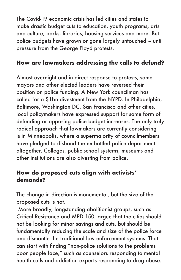The Covid-19 economic crisis has led cities and states to make drastic budget cuts to education, youth programs, arts and culture, parks, libraries, housing services and more. But police budgets have grown or gone largely untouched – until pressure from the George Floyd protests.

### **How are lawmakers addressing the calls to defund?**

Almost overnight and in direct response to protests, some mayors and other elected leaders have reversed their position on police funding. A New York councilman has called for a \$1bn divestment from the NYPD. In Philadelphia, Baltimore, Washington DC, San Francisco and other cities, local policymakers have expressed support for some form of defunding or opposing police budget increases. The only truly radical approach that lawmakers are currently considering is in Minneapolis, where a supermajority of councilmembers have pledged to disband the embattled police department altogether. Colleges, public school systems, museums and other institutions are also divesting from police.

### **How do proposed cuts align with activists' demands?**

The change in direction is monumental, but the size of the proposed cuts is not.

 More broadly, longstanding abolitionist groups, such as Critical Resistance and MPD 150, argue that the cities should not be looking for minor savings and cuts, but should be fundamentally reducing the scale and size of the police force and dismantle the traditional law enforcement systems. That can start with finding "non-police solutions to the problems poor people face," such as counselors responding to mental health calls and addiction experts responding to drug abuse.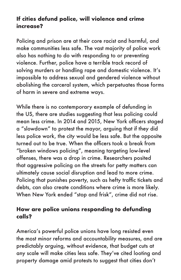### **If cities defund police, will violence and crime increase?**

Policing and prison are at their core racist and harmful, and make communities less safe. The vast majority of police work also has nothing to do with responding to or preventing violence. Further, police have a terrible track record of solving murders or handling rape and domestic violence. It's impossible to address sexual and gendered violence without abolishing the carceral system, which perpetuates those forms of harm in severe and extreme ways.

While there is no contemporary example of defunding in the US, there are studies suggesting that less policing could mean less crime. In 2014 and 2015, New York officers staged a "slowdown" to protest the mayor, arguing that if they did less police work, the city would be less safe. But the opposite turned out to be true. When the officers took a break from "broken windows policing", meaning targeting low-level offenses, there was a drop in crime. Researchers posited that aggressive policing on the streets for petty matters can ultimately cause social disruption and lead to more crime. Policing that punishes poverty, such as hefty traffic tickets and debts, can also create conditions where crime is more likely. When New York ended "stop and frisk", crime did not rise.

#### **How are police unions responding to defunding calls?**

America's powerful police unions have long resisted even the most minor reforms and accountability measures, and are predictably arguing, without evidence, that budget cuts at any scale will make cities less safe. They've cited looting and property damage amid protests to suggest that cities don't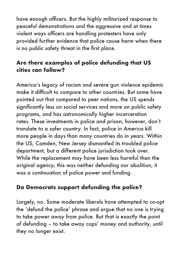have enough officers. But the highly militarized response to peaceful demonstrations and the aggressive and at times violent ways officers are handling protesters have only provided further evidence that police cause harm when there is no public safety threat in the first place.

### **Are there examples of police defunding that US cities can follow?**

America's legacy of racism and severe gun violence epidemic make it difficult to compare to other countries. But some have pointed out that compared to peer nations, the US spends significantly less on social services and more on public safety programs, and has astronomically higher incarceration rates. These investments in police and prison, however, don't translate to a safer country. In fact, police in America kill more people in days than many countries do in years. Within the US, Camden, New Jersey dismantled its troubled police department, but a different police jurisdiction took over. While the replacement may have been less harmful than the original agency, this was neither defunding nor abolition, it was a continuation of police power and funding.

## **Do Democrats support defunding the police?**

Largely, no. Some moderate liberals have attempted to co-opt the 'defund the police' phrase and argue that no one is trying to take power away from police. But that is exactly the point of defunding – to take away cops' money and authority, until they no longer exist.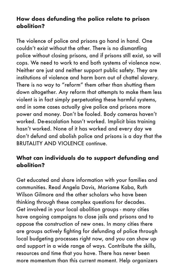#### **How does defunding the police relate to prison abolition?**

The violence of police and prisons go hand in hand. One couldn't exist without the other. There is no dismantling police without closing prisons, and if prisons still exist, so will cops. We need to work to end both systems of violence now. Neither are just and neither support public safety. They are institutions of violence and harm born out of chattel slavery. There is no way to "reform" them other than shutting them down altogether. Any reform that attempts to make them less violent is in fact simply perpetuating these harmful systems, and in some cases actually give police and prisons more power and money. Don't be fooled. Body cameras haven't worked. De-escalation hasn't worked. Implicit bias training hasn't worked. None of it has worked and every day we don't defund and abolish police and prisons is a day that the BRUTALITY AND VIOLENCE continue.

#### **What can individuals do to support defunding and abolition?**

Get educated and share information with your families and communities. Read Angela Davis, Mariame Kaba, Ruth Wilson Gilmore and the other scholars who have been thinking through these complex questions for decades. Get involved in your local abolition groups - many cities have ongoing campaigns to close jails and prisons and to oppose the construction of new ones. In many cities there are groups actively fighting for defunding of police through local budgeting processes right now, and you can show up and support in a wide range of ways. Contribute the skills, resources and time that you have. There has never been more momentum than this current moment. Help organizers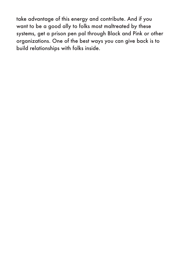take advantage of this energy and contribute. And if you want to be a good ally to folks most maltreated by these systems, get a prison pen pal through Black and Pink or other organizations. One of the best ways you can give back is to build relationships with folks inside.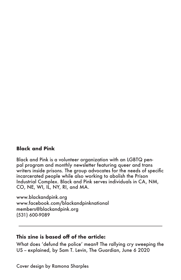#### **Black and Pink**

Black and Pink is a volunteer organization with an LGBTQ penpal program and monthly newsletter featuring queer and trans writers inside prisons. The group advocates for the needs of specific incarcerated people while also working to abolish the Prison Industrial Complex. Black and Pink serves individuals in CA, NM, CO, NE, WI, IL, NY, RI, and MA.

www.blackandpink.org www.facebook.com/blackandpinknational members@blackandpink.org (531) 600-9089

#### **This zine is based off of the article:**

What does 'defund the police' mean? The rallying cry sweeping the US - explained, by Sam T. Levin, The Guardian, June 6 2020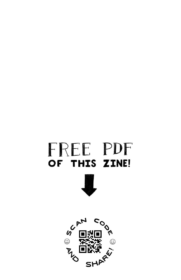